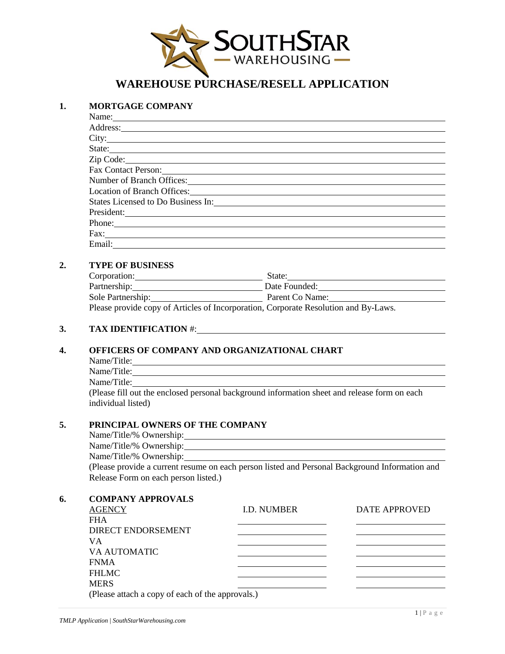

# **WAREHOUSE PURCHASE/RESELL APPLICATION**

# **1. MORTGAGE COMPANY**

| Address: <u>Address:</u>                                                                                                                                                                                                       |
|--------------------------------------------------------------------------------------------------------------------------------------------------------------------------------------------------------------------------------|
|                                                                                                                                                                                                                                |
| State:                                                                                                                                                                                                                         |
| Zip Code: 2000 Code:                                                                                                                                                                                                           |
| Fax Contact Person: 1988 and 1988 and 1988 and 1988 and 1988 and 1988 and 1988 and 1988 and 1988 and 1988 and 1988 and 1988 and 1988 and 1988 and 1988 and 1988 and 1988 and 1988 and 1988 and 1988 and 1988 and 1988 and 1988 |
|                                                                                                                                                                                                                                |
| Location of Branch Offices: Manual According to the According of Branch Offices:                                                                                                                                               |
|                                                                                                                                                                                                                                |
| President:                                                                                                                                                                                                                     |
| Phone:                                                                                                                                                                                                                         |
| Fax: The Commission of the Commission of the Commission of the Commission of the Commission of the Commission of the Commission of the Commission of the Commission of the Commission of the Commission of the Commission of t |
|                                                                                                                                                                                                                                |

# **2. TYPE OF BUSINESS**

| Corporation:                                                                        | State:          |
|-------------------------------------------------------------------------------------|-----------------|
| Partnership:                                                                        | Date Founded:   |
| Sole Partnership:                                                                   | Parent Co Name: |
| Please provide copy of Articles of Incorporation, Corporate Resolution and By-Laws. |                 |

#### **3. TAX IDENTIFICATION** #:

# **4. OFFICERS OF COMPANY AND ORGANIZATIONAL CHART**

Name/Title: Name and the set of the set of the set of the set of the set of the set of the set of the set of the set of the set of the set of the set of the set of the set of the set of the set of the set of the set of the

| Name/Title: |
|-------------|
|-------------|

Name/Title: (Please fill out the enclosed personal background information sheet and release form on each individual listed)

## **5. PRINCIPAL OWNERS OF THE COMPANY**

| Name/Title/% Ownership:                                                                        |
|------------------------------------------------------------------------------------------------|
| Name/Title/% Ownership:                                                                        |
| Name/Title/% Ownership:                                                                        |
| (Please provide a current resume on each person listed and Personal Background Information and |
| Release Form on each person listed.)                                                           |

## **6. COMPANY APPROVALS**

| <b>AGENCY</b>                                    | I.D. NUMBER | DATE APPROVED |
|--------------------------------------------------|-------------|---------------|
| <b>FHA</b>                                       |             |               |
| DIRECT ENDORSEMENT                               |             |               |
| VA                                               |             |               |
| VA AUTOMATIC                                     |             |               |
| <b>FNMA</b>                                      |             |               |
| <b>FHLMC</b>                                     |             |               |
| <b>MERS</b>                                      |             |               |
| (Please attach a copy of each of the approvals.) |             |               |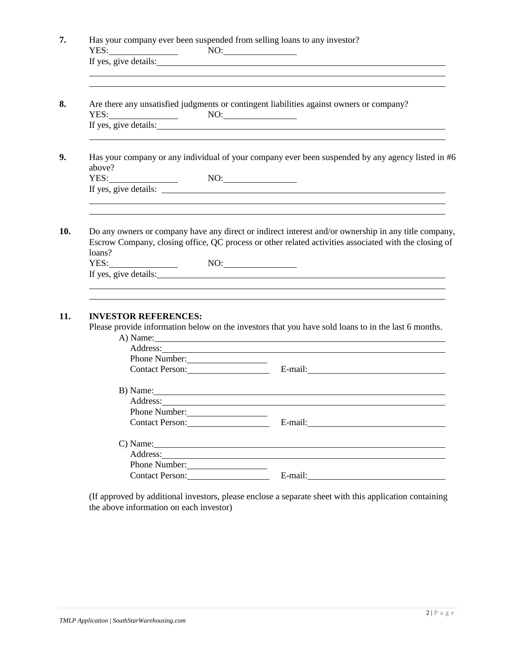|        |                             |                                                                                                                                                                                                                                                                                                                                                                                             | Has your company ever been suspended from selling loans to any investor?                                                                                                                                                                                                              |  |
|--------|-----------------------------|---------------------------------------------------------------------------------------------------------------------------------------------------------------------------------------------------------------------------------------------------------------------------------------------------------------------------------------------------------------------------------------------|---------------------------------------------------------------------------------------------------------------------------------------------------------------------------------------------------------------------------------------------------------------------------------------|--|
|        |                             |                                                                                                                                                                                                                                                                                                                                                                                             | If yes, give details:                                                                                                                                                                                                                                                                 |  |
|        |                             | YES: NO: NO:                                                                                                                                                                                                                                                                                                                                                                                | Are there any unsatisfied judgments or contingent liabilities against owners or company?                                                                                                                                                                                              |  |
|        |                             |                                                                                                                                                                                                                                                                                                                                                                                             |                                                                                                                                                                                                                                                                                       |  |
| above? |                             |                                                                                                                                                                                                                                                                                                                                                                                             | Has your company or any individual of your company ever been suspended by any agency listed in #6                                                                                                                                                                                     |  |
|        |                             | YES: NO: NO:                                                                                                                                                                                                                                                                                                                                                                                |                                                                                                                                                                                                                                                                                       |  |
| loans? |                             | $\begin{picture}(150,10) \put(0,0){\dashbox{0.5}(10,0){ }} \put(15,0){\circle{10}} \put(15,0){\circle{10}} \put(15,0){\circle{10}} \put(15,0){\circle{10}} \put(15,0){\circle{10}} \put(15,0){\circle{10}} \put(15,0){\circle{10}} \put(15,0){\circle{10}} \put(15,0){\circle{10}} \put(15,0){\circle{10}} \put(15,0){\circle{10}} \put(15,0){\circle{10}} \put(15,0){\circle{10}} \put(15$ | Do any owners or company have any direct or indirect interest and/or ownership in any title company,<br>Escrow Company, closing office, QC process or other related activities associated with the closing of                                                                         |  |
|        | <b>INVESTOR REFERENCES:</b> |                                                                                                                                                                                                                                                                                                                                                                                             | Please provide information below on the investors that you have sold loans to in the last 6 months.                                                                                                                                                                                   |  |
|        |                             |                                                                                                                                                                                                                                                                                                                                                                                             |                                                                                                                                                                                                                                                                                       |  |
|        |                             | Phone Number:                                                                                                                                                                                                                                                                                                                                                                               | Contact Person: E-mail: E-mail:                                                                                                                                                                                                                                                       |  |
|        |                             |                                                                                                                                                                                                                                                                                                                                                                                             |                                                                                                                                                                                                                                                                                       |  |
|        | Address:                    | Phone Number:                                                                                                                                                                                                                                                                                                                                                                               | B) Name: $\frac{1}{2}$ Name: $\frac{1}{2}$ Name: $\frac{1}{2}$ Name: $\frac{1}{2}$ Name: $\frac{1}{2}$ Name: $\frac{1}{2}$ Name: $\frac{1}{2}$ Name: $\frac{1}{2}$ Name: $\frac{1}{2}$ Name: $\frac{1}{2}$ Name: $\frac{1}{2}$ Name: $\frac{1}{2}$ Name: $\frac{1}{2}$ Name: $\frac{$ |  |
|        |                             | Contact Person:                                                                                                                                                                                                                                                                                                                                                                             |                                                                                                                                                                                                                                                                                       |  |
|        |                             |                                                                                                                                                                                                                                                                                                                                                                                             | C) Name:<br>Address: <u>and the contract of the contract of the contract of the contract of the contract of the contract of the contract of the contract of the contract of the contract of the contract of the contract of the contract of </u>                                      |  |

(If approved by additional investors, please enclose a separate sheet with this application containing the above information on each investor)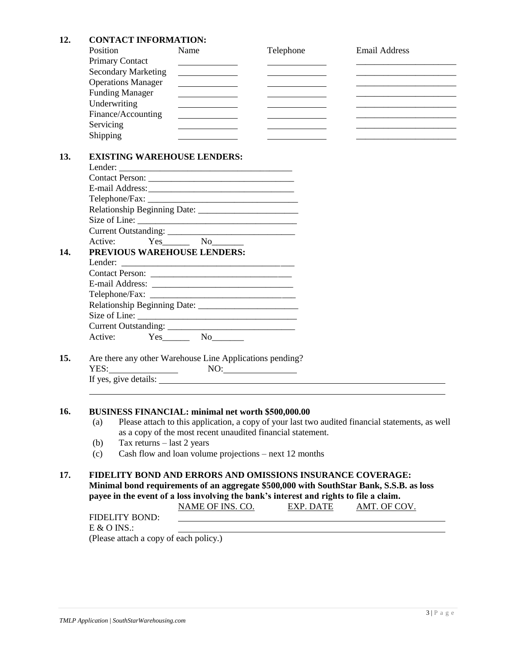#### **12. CONTACT INFORMATION:**

| Position                   | Name | Telephone | <b>Email Address</b> |
|----------------------------|------|-----------|----------------------|
| <b>Primary Contact</b>     |      |           |                      |
| <b>Secondary Marketing</b> |      |           |                      |
| <b>Operations Manager</b>  |      |           |                      |
| <b>Funding Manager</b>     |      |           |                      |
| Underwriting               |      |           |                      |
| Finance/Accounting         |      |           |                      |
| Servicing                  |      |           |                      |
| Shipping                   |      |           |                      |

# **13. EXISTING WAREHOUSE LENDERS:**

|     |         | Active: Yes No              |  |
|-----|---------|-----------------------------|--|
| 14. |         | PREVIOUS WAREHOUSE LENDERS: |  |
|     | Lender: |                             |  |

#### Lender: \_\_\_\_\_\_\_\_\_\_\_\_\_\_\_\_\_\_\_\_\_\_\_\_\_\_\_\_\_\_\_\_\_\_\_\_\_\_ Contact Person<sup>.</sup>

#### **15.** Are there any other Warehouse Line Applications pending? YES: NO: If yes, give details:

# **16. BUSINESS FINANCIAL: minimal net worth \$500,000.00**

- (a) Please attach to this application, a copy of your last two audited financial statements, as well as a copy of the most recent unaudited financial statement.
- (b) Tax returns last 2 years
- (c) Cash flow and loan volume projections next 12 months

### **17. FIDELITY BOND AND ERRORS AND OMISSIONS INSURANCE COVERAGE: Minimal bond requirements of an aggregate \$500,000 with SouthStar Bank, S.S.B. as loss payee in the event of a loss involving the bank's interest and rights to file a claim.**

|                                         | NAME OF INS. CO. | EXP. DATE | AMT. OF COV. |  |
|-----------------------------------------|------------------|-----------|--------------|--|
| <b>FIDELITY BOND:</b>                   |                  |           |              |  |
| $E & O$ INS.:                           |                  |           |              |  |
| $(D0.080 attoch o conv of each poliov)$ |                  |           |              |  |

(Please attach a copy of each policy.)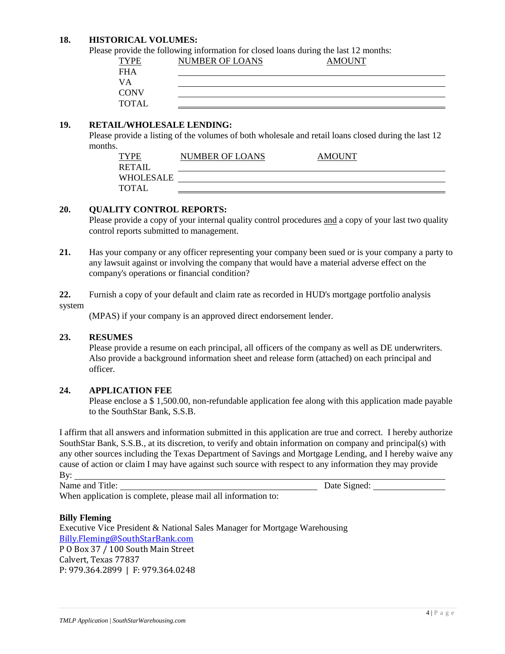#### **18. HISTORICAL VOLUMES:**

Please provide the following information for closed loans during the last 12 months:

| <b>TYPE</b> | <b>NUMBER OF LOANS</b> | AMOUNT |  |
|-------------|------------------------|--------|--|
| <b>FHA</b>  |                        |        |  |
| VА          |                        |        |  |
| <b>CONV</b> |                        |        |  |
| TOTAL       |                        |        |  |

# **19. RETAIL/WHOLESALE LENDING:**

Please provide a listing of the volumes of both wholesale and retail loans closed during the last 12 months.

| TYPE             | NUMBER OF LOANS | AMOUNT |  |
|------------------|-----------------|--------|--|
| RETAIL           |                 |        |  |
| <b>WHOLESALE</b> |                 |        |  |
| TOTAL            |                 |        |  |

## **20. QUALITY CONTROL REPORTS:**

Please provide a copy of your internal quality control procedures and a copy of your last two quality control reports submitted to management.

- **21.** Has your company or any officer representing your company been sued or is your company a party to any lawsuit against or involving the company that would have a material adverse effect on the company's operations or financial condition?
- **22.** Furnish a copy of your default and claim rate as recorded in HUD's mortgage portfolio analysis system

(MPAS) if your company is an approved direct endorsement lender.

# **23. RESUMES**

Please provide a resume on each principal, all officers of the company as well as DE underwriters. Also provide a background information sheet and release form (attached) on each principal and officer.

## **24. APPLICATION FEE**

Please enclose a \$1,500.00, non-refundable application fee along with this application made payable to the SouthStar Bank, S.S.B.

I affirm that all answers and information submitted in this application are true and correct. I hereby authorize SouthStar Bank, S.S.B., at its discretion, to verify and obtain information on company and principal(s) with any other sources including the Texas Department of Savings and Mortgage Lending, and I hereby waive any cause of action or claim I may have against such source with respect to any information they may provide By:

Name and Title: Date Signed: Date Signed:

When application is complete, please mail all information to:

## **Billy Fleming**

Executive Vice President & National Sales Manager for Mortgage Warehousing [Billy.Fleming@SouthStarBank.com](mailto:Billy.Fleming@SouthStarBank.com) P O Box 37 / 100 South Main Street Calvert, Texas 77837 P: 979.364.2899 | F: 979.364.0248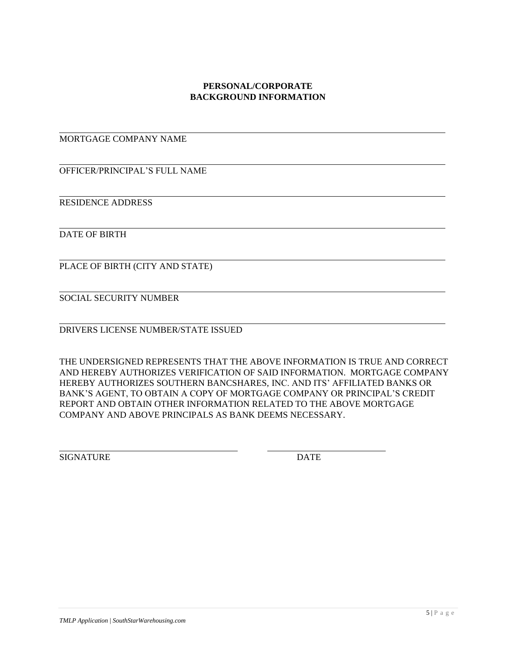# **PERSONAL/CORPORATE BACKGROUND INFORMATION**

# MORTGAGE COMPANY NAME

OFFICER/PRINCIPAL'S FULL NAME

RESIDENCE ADDRESS

DATE OF BIRTH

l

l

l

l

PLACE OF BIRTH (CITY AND STATE)

SOCIAL SECURITY NUMBER

DRIVERS LICENSE NUMBER/STATE ISSUED

THE UNDERSIGNED REPRESENTS THAT THE ABOVE INFORMATION IS TRUE AND CORRECT AND HEREBY AUTHORIZES VERIFICATION OF SAID INFORMATION. MORTGAGE COMPANY HEREBY AUTHORIZES SOUTHERN BANCSHARES, INC. AND ITS' AFFILIATED BANKS OR BANK'S AGENT, TO OBTAIN A COPY OF MORTGAGE COMPANY OR PRINCIPAL'S CREDIT REPORT AND OBTAIN OTHER INFORMATION RELATED TO THE ABOVE MORTGAGE COMPANY AND ABOVE PRINCIPALS AS BANK DEEMS NECESSARY.

SIGNATURE DATE

l